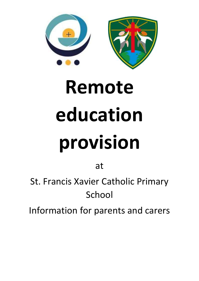

# **Remote education provision**

at

St. Francis Xavier Catholic Primary School

Information for parents and carers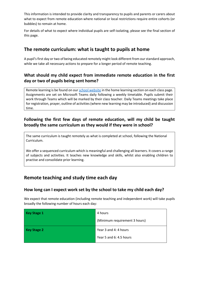This information is intended to provide clarity and transparency to pupils and parents or carers about what to expect from remote education where national or local restrictions require entire cohorts (or bubbles) to remain at home.

For details of what to expect where individual pupils are self-isolating, please see the final section of this page.

# **The remote curriculum: what is taught to pupils at home**

A pupil's first day or two of being educated remotely might look different from our standard approach, while we take all necessary actions to prepare for a longer period of remote teaching.

## **What should my child expect from immediate remote education in the first day or two of pupils being sent home?**

Remote learning is be found on our school website in the home learning section on each class page. Assignments are set on Microsoft Teams daily following a weekly timetable. Pupils submit their work through Teams which will be marked by their class teacher. Daily Teams meetings take place for registration, prayer, outline of activities (where new learning may be introduced) and discussion time.

# **Following the first few days of remote education, will my child be taught broadly the same curriculum as they would if they were in school?**

The same curriculum is taught remotely as what is completed at school, following the National Curriculum.

We offer a sequenced curriculum which is meaningful and challenging all learners. It covers a range of subjects and activities. It teaches new knowledge and skills, whilst also enabling children to practise and consolidate prior learning.

# **Remote teaching and study time each day**

### **How long can I expect work set by the school to take my child each day?**

We expect that remote education (including remote teaching and independent work) will take pupils broadly the following number of hours each day:

| <b>Key Stage 1</b> | 4 hours                       |
|--------------------|-------------------------------|
|                    | (Minimum requirement 3 hours) |
| Key Stage 2        | Year 3 and 4: 4 hours         |
|                    | Year 5 and 6: 4.5 hours       |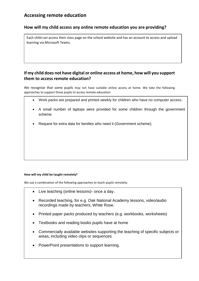# **Accessing remote education**

### **How will my child access any online remote education you are providing?**

Each child can access their class page on the school website and has an account to access and upload learning via Microsoft Teams.

## **If my child does not have digital or online access at home, how will you support them to access remote education?**

We recognise that some pupils may not have suitable online access at home. We take the following approaches to support those pupils to access remote education:

- Work packs are prepared and printed weekly for children who have no computer access.
- A small number of laptops were provided for some children through the government scheme.
- Request for extra data for families who need it (Government scheme).

#### **How will my child be taught remotely?**

We use a combination of the following approaches to teach pupils remotely:

- Live teaching (online lessons)- once a day.
- Recorded teaching, for e.g. Oak National Academy lessons, video/audio recordings made by teachers, White Rose.
- Printed paper packs produced by teachers (e.g. workbooks, worksheets)
- Textbooks and reading books pupils have at home
- Commercially available websites supporting the teaching of specific subjects or areas, including video clips or sequences
- PowerPoint presentations to support learning.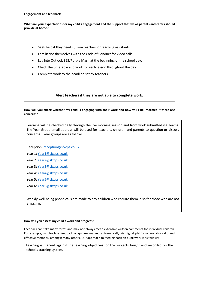#### **Engagement and feedback**

**What are your expectations for my child's engagement and the support that we as parents and carers should provide at home?**

- Seek help if they need it, from teachers or teaching assistants.
- Familiarise themselves with the Code of Conduct for video calls.
- Log into Outlook 365/Purple Mash at the beginning of the school day.
- Check the timetable and work for each lesson throughout the day.
- Complete work to the deadline set by teachers.

#### **Alert teachers if they are not able to complete work.**

#### **How will you check whether my child is engaging with their work and how will I be informed if there are concerns?**

Learning will be checked daily through the live morning session and from work submitted via Teams. The Year Group email address will be used for teachers, children and parents to question or discuss concerns. Year groups are as follows:

Reception: reception@sfxcps.co.uk

Year 1: Year1@sfxcps.co.uk

Year 2: Year2@sfxcps.co.uk

Year 3: Year3@sfxcps.co.uk

Year 4: Year4@sfxcps.co.uk

Year 5: Year5@sfxcps.co.uk

Year 6: Year6@sfxcps.co.uk

Weekly well-being phone calls are made to any children who require them, also for those who are not engaging.

#### **How will you assess my child's work and progress?**

Feedback can take many forms and may not always mean extensive written comments for individual children. For example, whole-class feedback or quizzes marked automatically via digital platforms are also valid and effective methods, amongst many others. Our approach to feeding back on pupil work is as follows:

Learning is marked against the learning objectives for the subjects taught and recorded on the school's tracking system.